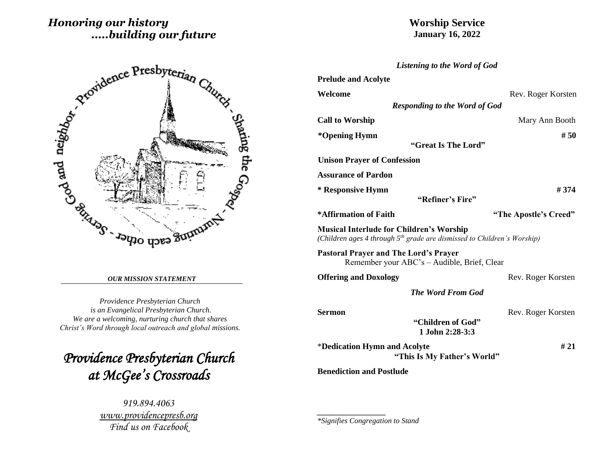# *Honoring our history .....building our future*

# **Worship Service January 16, 2022**



#### *OUR MISSION STATEMENT*

*Providence Presbyterian Church is an Evangelical Presbyterian Church. We are a welcoming, nurturing church that shares Christ's Word through local outreach and global missions.*

*Providence Presbyterian Church at McGee's Crossroads* 

> *919.894.4063 [www.providencepresb.org](http://www.providencepresb.org/) Find us on Facebook*

| <b>Listening to the Word of God</b>                                                                                                    |                       |
|----------------------------------------------------------------------------------------------------------------------------------------|-----------------------|
| <b>Prelude and Acolyte</b>                                                                                                             |                       |
| Welcome                                                                                                                                | Rev. Roger Korsten    |
| <b>Responding to the Word of God</b>                                                                                                   |                       |
| <b>Call to Worship</b>                                                                                                                 | Mary Ann Booth        |
| *Opening Hymn<br>"Great Is The Lord"                                                                                                   | #50                   |
| <b>Unison Prayer of Confession</b>                                                                                                     |                       |
| <b>Assurance of Pardon</b>                                                                                                             |                       |
| * Responsive Hymn<br>"Refiner's Fire"                                                                                                  | #374                  |
| *Affirmation of Faith                                                                                                                  | "The Apostle's Creed" |
| <b>Musical Interlude for Children's Worship</b><br>(Children ages 4 through 5 <sup>th</sup> grade are dismissed to Children's Worship) |                       |
| <b>Pastoral Prayer and The Lord's Prayer</b><br>Remember your ABC's - Audible, Brief, Clear                                            |                       |
| <b>Offering and Doxology</b>                                                                                                           | Rev. Roger Korsten    |
| <b>The Word From God</b>                                                                                                               |                       |
| Sermon                                                                                                                                 | Rev. Roger Korsten    |
| "Children of God"<br>1.John 2:28-3:3                                                                                                   |                       |
| *Dedication Hymn and Acolyte<br>"This Is My Father's World"                                                                            | #21                   |
| <b>Benediction and Postlude</b>                                                                                                        |                       |

*\*Signifies Congregation to Stand*

*\_\_\_\_\_\_\_\_\_\_\_\_\_\_\_\_\_\_*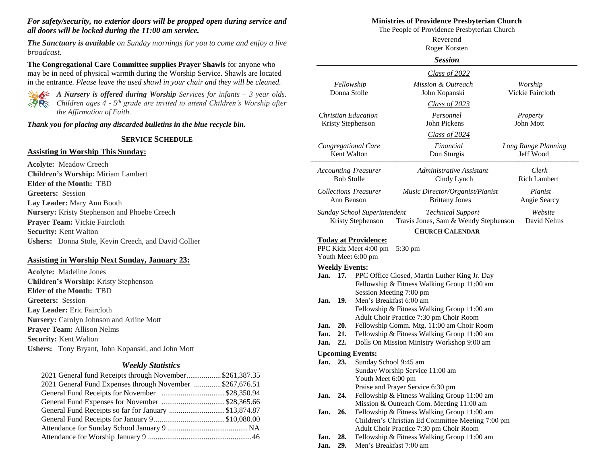#### *For safety/security, no exterior doors will be propped open during service and all doors will be locked during the 11:00 am service.*

*The Sanctuary is available on Sunday mornings for you to come and enjoy a live broadcast.*

**The Congregational Care Committee supplies Prayer Shawls** for anyone who may be in need of physical warmth during the Worship Service. Shawls are located in the entrance. *Please leave the used shawl in your chair and they will be cleaned.*



*A Nursery is offered during Worship Services for infants – 3 year olds. Children ages 4 - 5 th grade are invited to attend Children's Worship after the Affirmation of Faith.*

*Thank you for placing any discarded bulletins in the blue recycle bin.*

#### **SERVICE SCHEDULE**

#### **Assisting in Worship This Sunday:**

**Acolyte:** Meadow Creech **Children's Worship:** Miriam Lambert **Elder of the Month:** TBD **Greeters:** Session **Lay Leader:** Mary Ann Booth **Nursery:** Kristy Stephenson and Phoebe Creech **Prayer Team:** Vickie Faircloth **Security:** Kent Walton **Ushers:** Donna Stole, Kevin Creech, and David Collier

#### **Assisting in Worship Next Sunday, January 23:**

**Acolyte:** Madeline Jones **Children's Worship:** Kristy Stephenson **Elder of the Month:** TBD **Greeters:** Session **Lay Leader:** Eric Faircloth **Nursery:** Carolyn Johnson and Arline Mott **Prayer Team:** Allison Nelms **Security:** Kent Walton **Ushers:** Tony Bryant, John Kopanski, and John Mott

#### *Weekly Statistics*

| 2021 General fund Receipts through November\$261,387.35  |  |
|----------------------------------------------------------|--|
| 2021 General Fund Expenses through November \$267,676.51 |  |
|                                                          |  |
| General Fund Expenses for November \$28,365.66           |  |
| General Fund Receipts so far for January \$13,874.87     |  |
|                                                          |  |
|                                                          |  |
|                                                          |  |
|                                                          |  |

#### **Ministries of Providence Presbyterian Church**

The People of Providence Presbyterian Church

|                                                  |     |                                                                                                                                                                                             | Reverend<br>Roger Korsten                                                                    |                                  |  |
|--------------------------------------------------|-----|---------------------------------------------------------------------------------------------------------------------------------------------------------------------------------------------|----------------------------------------------------------------------------------------------|----------------------------------|--|
|                                                  |     |                                                                                                                                                                                             | Session                                                                                      |                                  |  |
|                                                  |     |                                                                                                                                                                                             | Class of 2022                                                                                |                                  |  |
|                                                  |     | Fellowship<br>Donna Stolle                                                                                                                                                                  | Mission & Outreach<br>John Kopanski                                                          | Worship<br>Vickie Faircloth      |  |
| <b>Christian Education</b>                       |     |                                                                                                                                                                                             | Class of 2023<br>Personnel                                                                   | Property                         |  |
| Kristy Stephenson                                |     |                                                                                                                                                                                             | John Pickens                                                                                 | John Mott                        |  |
| Congregational Care<br>Kent Walton               |     |                                                                                                                                                                                             | Class of 2024<br>Financial<br>Don Sturgis                                                    | Long Range Planning<br>Jeff Wood |  |
| <b>Accounting Treasurer</b><br><b>Bob Stolle</b> |     |                                                                                                                                                                                             | Administrative Assistant<br>Cindy Lynch                                                      | Clerk<br><b>Rich Lambert</b>     |  |
| <b>Collections Treasurer</b><br>Ann Benson       |     |                                                                                                                                                                                             | Music Director/Organist/Pianist<br><b>Brittany Jones</b>                                     | Pianist<br>Angie Searcy          |  |
|                                                  |     | Sunday School Superintendent<br>Kristy Stephenson                                                                                                                                           | <b>Technical Support</b><br>Travis Jones, Sam & Wendy Stephenson                             | Website<br>David Nelms           |  |
|                                                  |     | <b>Today at Providence:</b>                                                                                                                                                                 | <b>CHURCH CALENDAR</b>                                                                       |                                  |  |
|                                                  |     | PPC Kidz Meet $4:00 \text{ pm} - 5:30 \text{ pm}$                                                                                                                                           |                                                                                              |                                  |  |
|                                                  |     | Youth Meet 6:00 pm                                                                                                                                                                          |                                                                                              |                                  |  |
|                                                  |     | <b>Weekly Events:</b>                                                                                                                                                                       |                                                                                              |                                  |  |
| Jan. 17.                                         |     |                                                                                                                                                                                             | PPC Office Closed, Martin Luther King Jr. Day                                                |                                  |  |
| Jan.                                             | 19. | Fellowship & Fitness Walking Group 11:00 am<br>Session Meeting 7:00 pm<br>Men's Breakfast 6:00 am<br>Fellowship & Fitness Walking Group 11:00 am<br>Adult Choir Practice 7:30 pm Choir Room |                                                                                              |                                  |  |
| Jan.                                             | 20. | Fellowship Comm. Mtg. 11:00 am Choir Room                                                                                                                                                   |                                                                                              |                                  |  |
| Jan.                                             | 21. | Fellowship & Fitness Walking Group 11:00 am                                                                                                                                                 |                                                                                              |                                  |  |
| Jan.                                             | 22. |                                                                                                                                                                                             | Dolls On Mission Ministry Workshop 9:00 am                                                   |                                  |  |
|                                                  |     | <b>Upcoming Events:</b>                                                                                                                                                                     |                                                                                              |                                  |  |
| Jan. 23.                                         |     | Sunday School 9:45 am                                                                                                                                                                       |                                                                                              |                                  |  |
|                                                  |     |                                                                                                                                                                                             | Sunday Worship Service 11:00 am                                                              |                                  |  |
|                                                  |     | Youth Meet 6:00 pm                                                                                                                                                                          | Praise and Prayer Service 6:30 pm                                                            |                                  |  |
| Jan.<br>24.                                      |     |                                                                                                                                                                                             | Fellowship & Fitness Walking Group 11:00 am                                                  |                                  |  |
|                                                  |     |                                                                                                                                                                                             | Mission & Outreach Com. Meeting 11:00 am                                                     |                                  |  |
| Jan.                                             | 26. |                                                                                                                                                                                             | Fellowship & Fitness Walking Group 11:00 am                                                  |                                  |  |
|                                                  |     |                                                                                                                                                                                             | Children's Christian Ed Committee Meeting 7:00 pm<br>Adult Choir Practice 7:30 pm Choir Room |                                  |  |

- **Jan. 28.** Fellowship & Fitness Walking Group 11:00 am
- **Jan. 29.** Men's Breakfast 7:00 am